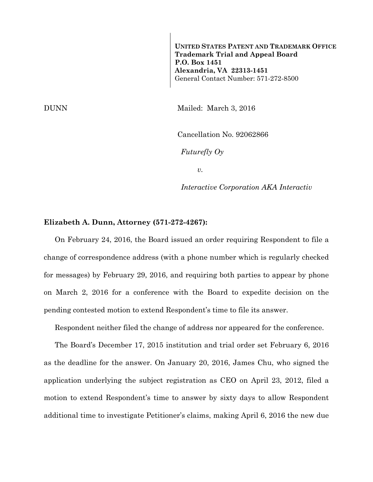**UNITED STATES PATENT AND TRADEMARK OFFICE Trademark Trial and Appeal Board P.O. Box 1451 Alexandria, VA 22313-1451**  General Contact Number: 571-272-8500

DUNN Mailed: March 3, 2016

Cancellation No. 92062866

*Futurefly Oy* 

*v.* 

*Interactive Corporation AKA Interactiv* 

#### **Elizabeth A. Dunn, Attorney (571-272-4267):**

On February 24, 2016, the Board issued an order requiring Respondent to file a change of correspondence address (with a phone number which is regularly checked for messages) by February 29, 2016, and requiring both parties to appear by phone on March 2, 2016 for a conference with the Board to expedite decision on the pending contested motion to extend Respondent's time to file its answer.

Respondent neither filed the change of address nor appeared for the conference.

The Board's December 17, 2015 institution and trial order set February 6, 2016 as the deadline for the answer. On January 20, 2016, James Chu, who signed the application underlying the subject registration as CEO on April 23, 2012, filed a motion to extend Respondent's time to answer by sixty days to allow Respondent additional time to investigate Petitioner's claims, making April 6, 2016 the new due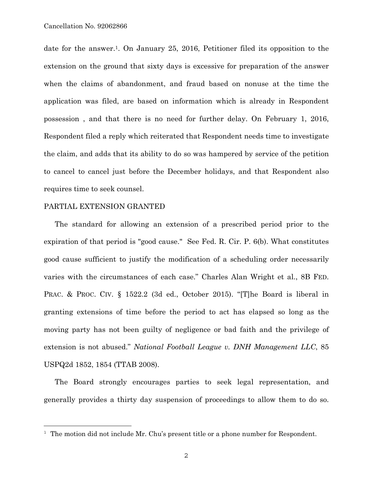date for the answer.1. On January 25, 2016, Petitioner filed its opposition to the extension on the ground that sixty days is excessive for preparation of the answer when the claims of abandonment, and fraud based on nonuse at the time the application was filed, are based on information which is already in Respondent possession , and that there is no need for further delay. On February 1, 2016, Respondent filed a reply which reiterated that Respondent needs time to investigate the claim, and adds that its ability to do so was hampered by service of the petition to cancel to cancel just before the December holidays, and that Respondent also requires time to seek counsel.

#### PARTIAL EXTENSION GRANTED

a<br>B

The standard for allowing an extension of a prescribed period prior to the expiration of that period is "good cause." See Fed. R. Cir. P. 6(b). What constitutes good cause sufficient to justify the modification of a scheduling order necessarily varies with the circumstances of each case." Charles Alan Wright et al., 8B FED. PRAC. & PROC. CIV. § 1522.2 (3d ed., October 2015). "[T]he Board is liberal in granting extensions of time before the period to act has elapsed so long as the moving party has not been guilty of negligence or bad faith and the privilege of extension is not abused." *National Football League v. DNH Management LLC*, 85 USPQ2d 1852, 1854 (TTAB 2008).

The Board strongly encourages parties to seek legal representation, and generally provides a thirty day suspension of proceedings to allow them to do so.

 $1$  The motion did not include Mr. Chu's present title or a phone number for Respondent.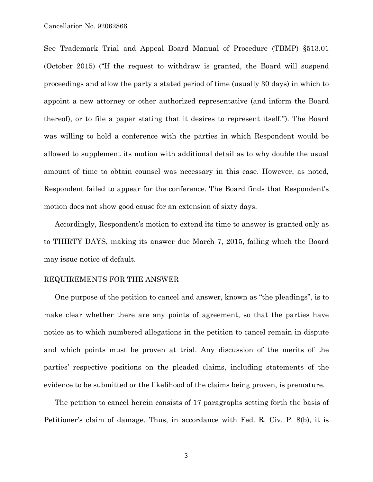See Trademark Trial and Appeal Board Manual of Procedure (TBMP) §513.01 (October 2015) ("If the request to withdraw is granted, the Board will suspend proceedings and allow the party a stated period of time (usually 30 days) in which to appoint a new attorney or other authorized representative (and inform the Board thereof), or to file a paper stating that it desires to represent itself."). The Board was willing to hold a conference with the parties in which Respondent would be allowed to supplement its motion with additional detail as to why double the usual amount of time to obtain counsel was necessary in this case. However, as noted, Respondent failed to appear for the conference. The Board finds that Respondent's motion does not show good cause for an extension of sixty days.

Accordingly, Respondent's motion to extend its time to answer is granted only as to THIRTY DAYS, making its answer due March 7, 2015, failing which the Board may issue notice of default.

## REQUIREMENTS FOR THE ANSWER

One purpose of the petition to cancel and answer, known as "the pleadings", is to make clear whether there are any points of agreement, so that the parties have notice as to which numbered allegations in the petition to cancel remain in dispute and which points must be proven at trial. Any discussion of the merits of the parties' respective positions on the pleaded claims, including statements of the evidence to be submitted or the likelihood of the claims being proven, is premature.

The petition to cancel herein consists of 17 paragraphs setting forth the basis of Petitioner's claim of damage. Thus, in accordance with Fed. R. Civ. P. 8(b), it is

3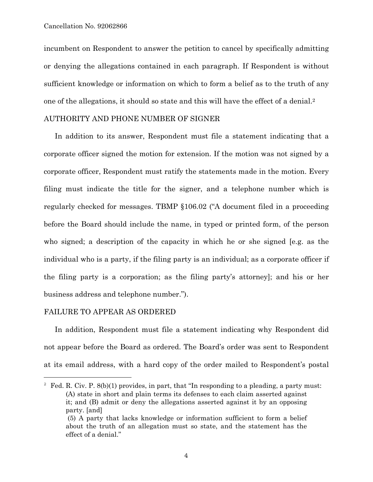incumbent on Respondent to answer the petition to cancel by specifically admitting or denying the allegations contained in each paragraph. If Respondent is without sufficient knowledge or information on which to form a belief as to the truth of any one of the allegations, it should so state and this will have the effect of a denial.2

## AUTHORITY AND PHONE NUMBER OF SIGNER

In addition to its answer, Respondent must file a statement indicating that a corporate officer signed the motion for extension. If the motion was not signed by a corporate officer, Respondent must ratify the statements made in the motion. Every filing must indicate the title for the signer, and a telephone number which is regularly checked for messages. TBMP §106.02 ("A document filed in a proceeding before the Board should include the name, in typed or printed form, of the person who signed; a description of the capacity in which he or she signed [e.g. as the individual who is a party, if the filing party is an individual; as a corporate officer if the filing party is a corporation; as the filing party's attorney]; and his or her business address and telephone number.").

#### FAILURE TO APPEAR AS ORDERED

È,

In addition, Respondent must file a statement indicating why Respondent did not appear before the Board as ordered. The Board's order was sent to Respondent at its email address, with a hard copy of the order mailed to Respondent's postal

<sup>2</sup> Fed. R. Civ. P.  $8(b)(1)$  provides, in part, that "In responding to a pleading, a party must: (A) state in short and plain terms its defenses to each claim asserted against it; and (B) admit or deny the allegations asserted against it by an opposing party. [and] (5) A party that lacks knowledge or information sufficient to form a belief

about the truth of an allegation must so state, and the statement has the effect of a denial."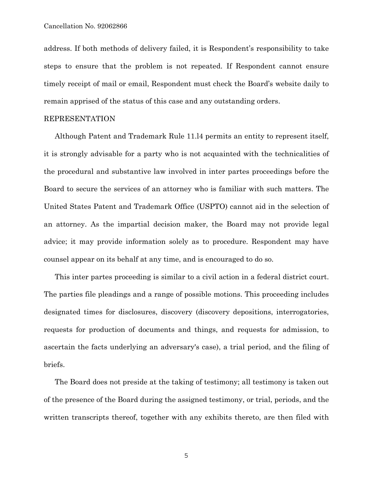address. If both methods of delivery failed, it is Respondent's responsibility to take steps to ensure that the problem is not repeated. If Respondent cannot ensure timely receipt of mail or email, Respondent must check the Board's website daily to remain apprised of the status of this case and any outstanding orders.

## REPRESENTATION

Although Patent and Trademark Rule 11.l4 permits an entity to represent itself, it is strongly advisable for a party who is not acquainted with the technicalities of the procedural and substantive law involved in inter partes proceedings before the Board to secure the services of an attorney who is familiar with such matters. The United States Patent and Trademark Office (USPTO) cannot aid in the selection of an attorney. As the impartial decision maker, the Board may not provide legal advice; it may provide information solely as to procedure. Respondent may have counsel appear on its behalf at any time, and is encouraged to do so.

This inter partes proceeding is similar to a civil action in a federal district court. The parties file pleadings and a range of possible motions. This proceeding includes designated times for disclosures, discovery (discovery depositions, interrogatories, requests for production of documents and things, and requests for admission, to ascertain the facts underlying an adversary's case), a trial period, and the filing of briefs.

The Board does not preside at the taking of testimony; all testimony is taken out of the presence of the Board during the assigned testimony, or trial, periods, and the written transcripts thereof, together with any exhibits thereto, are then filed with

5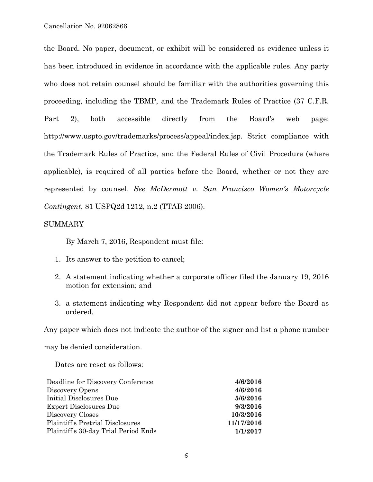the Board. No paper, document, or exhibit will be considered as evidence unless it has been introduced in evidence in accordance with the applicable rules. Any party who does not retain counsel should be familiar with the authorities governing this proceeding, including the TBMP, and the Trademark Rules of Practice (37 C.F.R. Part 2), both accessible directly from the Board's web page: http://www.uspto.gov/trademarks/process/appeal/index.jsp. Strict compliance with the Trademark Rules of Practice, and the Federal Rules of Civil Procedure (where applicable), is required of all parties before the Board, whether or not they are represented by counsel. *See McDermott v. San Francisco Women's Motorcycle Contingent*, 81 USPQ2d 1212, n.2 (TTAB 2006).

# SUMMARY

By March 7, 2016, Respondent must file:

- 1. Its answer to the petition to cancel;
- 2. A statement indicating whether a corporate officer filed the January 19, 2016 motion for extension; and
- 3. a statement indicating why Respondent did not appear before the Board as ordered.

Any paper which does not indicate the author of the signer and list a phone number

may be denied consideration.

Dates are reset as follows:

| 4/6/2016   |
|------------|
| 4/6/2016   |
| 5/6/2016   |
| 9/3/2016   |
| 10/3/2016  |
| 11/17/2016 |
| 1/1/2017   |
|            |